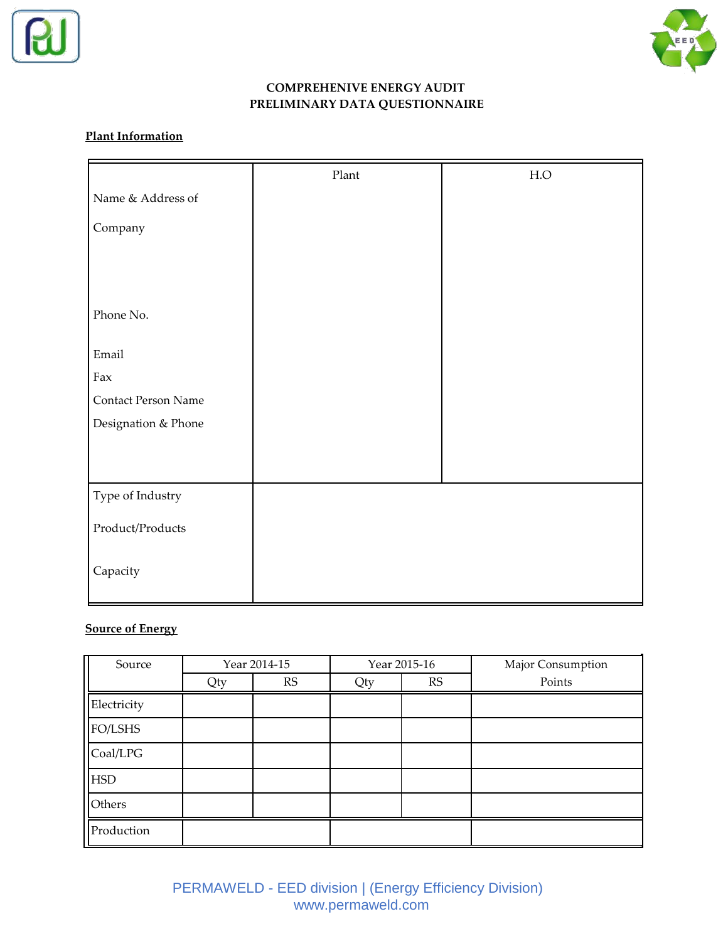



#### **COMPREHENIVE ENERGY AUDIT PRELIMINARY DATA QUESTIONNAIRE**

#### **Plant Information**

|                     | Plant | ${\rm H.O}$ |
|---------------------|-------|-------------|
| Name & Address of   |       |             |
| Company             |       |             |
|                     |       |             |
|                     |       |             |
|                     |       |             |
| Phone No.           |       |             |
| Email               |       |             |
| Fax                 |       |             |
| Contact Person Name |       |             |
| Designation & Phone |       |             |
|                     |       |             |
|                     |       |             |
| Type of Industry    |       |             |
| Product/Products    |       |             |
| Capacity            |       |             |

# **Source of Energy**

| Source      | Year 2014-15 |    |     | Year 2015-16 | Major Consumption |
|-------------|--------------|----|-----|--------------|-------------------|
|             | Qty          | RS | Qty | RS           | Points            |
| Electricity |              |    |     |              |                   |
| FO/LSHS     |              |    |     |              |                   |
| Coal/LPG    |              |    |     |              |                   |
| <b>HSD</b>  |              |    |     |              |                   |
| Others      |              |    |     |              |                   |
| Production  |              |    |     |              |                   |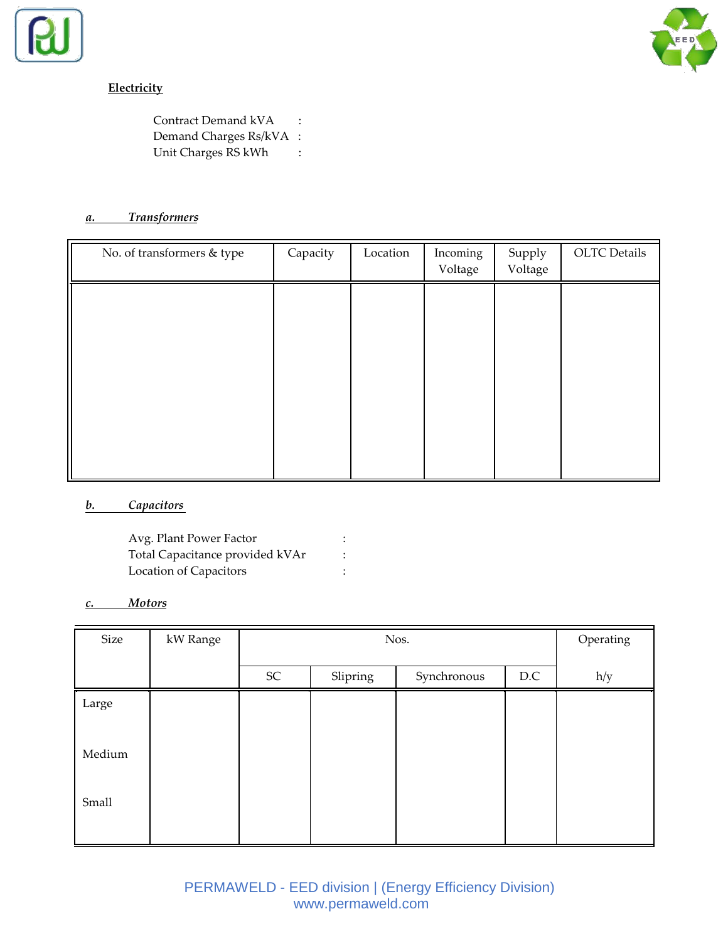



# **Electricity**

Contract Demand kVA : Demand Charges Rs/kVA : Unit Charges RS kWh :

#### *a. Transformers*

| No. of transformers & type | Capacity | Location | Incoming<br>Voltage | Supply<br>Voltage | <b>OLTC</b> Details |
|----------------------------|----------|----------|---------------------|-------------------|---------------------|
|                            |          |          |                     |                   |                     |
|                            |          |          |                     |                   |                     |
|                            |          |          |                     |                   |                     |
|                            |          |          |                     |                   |                     |
|                            |          |          |                     |                   |                     |

# *b. Capacitors*

| Avg. Plant Power Factor         |  |
|---------------------------------|--|
| Total Capacitance provided kVAr |  |
| Location of Capacitors          |  |

#### *c. Motors*

| Size   | kW Range |            | Nos.     |             |     |     |  |
|--------|----------|------------|----------|-------------|-----|-----|--|
|        |          | ${\rm SC}$ | Slipring | Synchronous | D.C | h/y |  |
| Large  |          |            |          |             |     |     |  |
| Medium |          |            |          |             |     |     |  |
| Small  |          |            |          |             |     |     |  |
|        |          |            |          |             |     |     |  |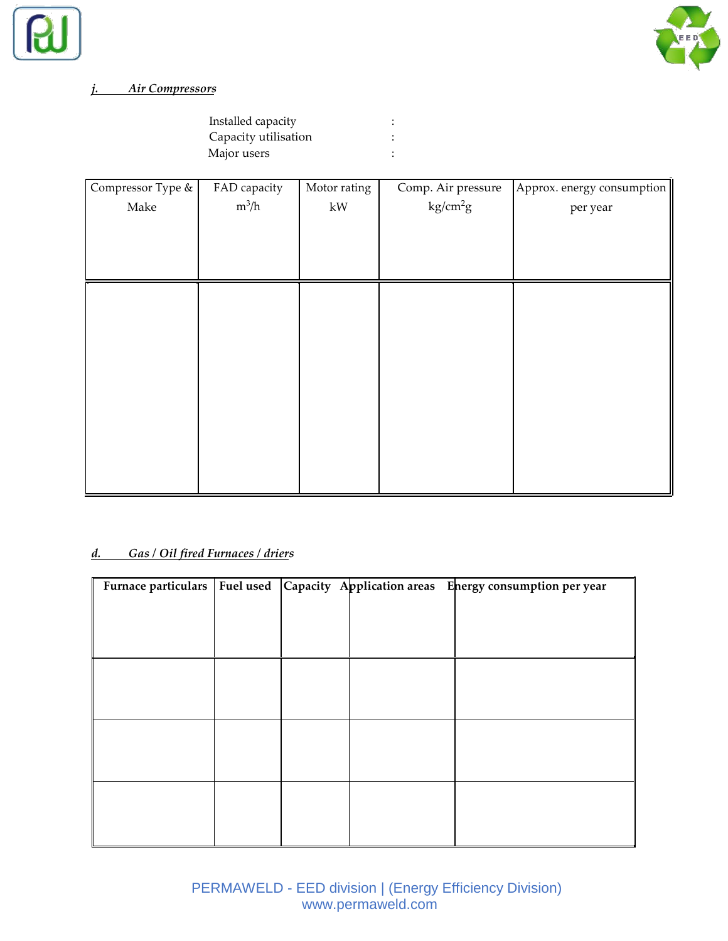



# *j. Air Compressors*

| Installed capacity   |  |
|----------------------|--|
| Capacity utilisation |  |
| Major users          |  |

| Compressor Type & | FAD capacity | Motor rating            | Comp. Air pressure   | Approx. energy consumption |
|-------------------|--------------|-------------------------|----------------------|----------------------------|
| Make              | $m^3/h$      | $\mathbf{k} \mathbf{W}$ | kg/cm <sup>2</sup> g | per year                   |
|                   |              |                         |                      |                            |

# *d. Gas / Oil fired Furnaces / driers*

|  |  | Furnace particulars   Fuel used   Capacity Application areas Energy consumption per year |
|--|--|------------------------------------------------------------------------------------------|
|  |  |                                                                                          |
|  |  |                                                                                          |
|  |  |                                                                                          |
|  |  |                                                                                          |
|  |  |                                                                                          |
|  |  |                                                                                          |
|  |  |                                                                                          |
|  |  |                                                                                          |
|  |  |                                                                                          |
|  |  |                                                                                          |
|  |  |                                                                                          |
|  |  |                                                                                          |
|  |  |                                                                                          |
|  |  |                                                                                          |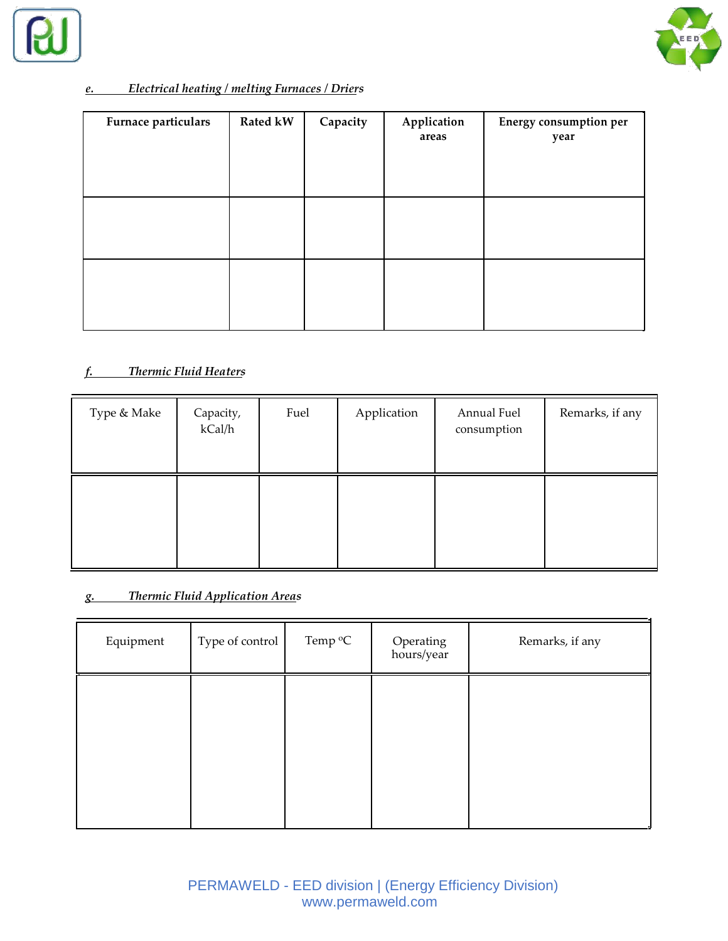



# *e. Electrical heating / melting Furnaces / Driers*

| Furnace particulars | <b>Rated kW</b> | Capacity | Application<br>areas | <b>Energy consumption per</b><br>year |
|---------------------|-----------------|----------|----------------------|---------------------------------------|
|                     |                 |          |                      |                                       |
|                     |                 |          |                      |                                       |

#### *f. Thermic Fluid Heaters*

| Type & Make | Capacity,<br>kCal/h | Fuel | Application | Annual Fuel<br>consumption | Remarks, if any |
|-------------|---------------------|------|-------------|----------------------------|-----------------|
|             |                     |      |             |                            |                 |

# *g. Thermic Fluid Application Areas*

| Equipment | Type of control | Temp <sup>o</sup> C | Operating<br>hours/year | Remarks, if any |
|-----------|-----------------|---------------------|-------------------------|-----------------|
|           |                 |                     |                         |                 |
|           |                 |                     |                         |                 |
|           |                 |                     |                         |                 |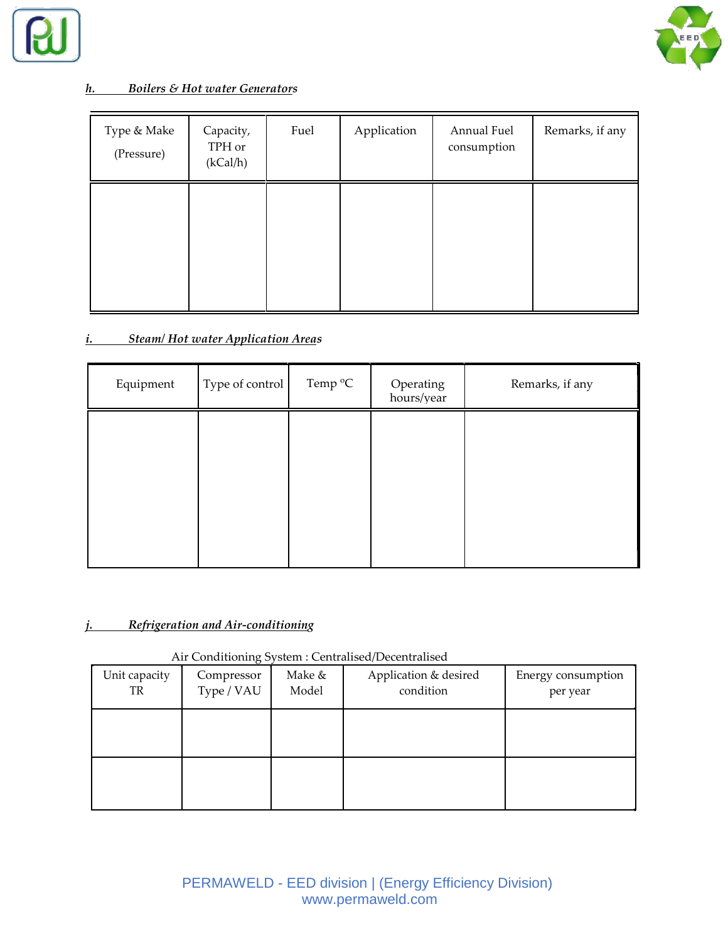



### *h. Boilers & Hot water Generators*

| Type & Make<br>(Pressure) | Capacity,<br>TPH or<br>(kCal/h) | Fuel | Application | Annual Fuel<br>consumption | Remarks, if any |
|---------------------------|---------------------------------|------|-------------|----------------------------|-----------------|
|                           |                                 |      |             |                            |                 |

# *i. Steam/ Hot water Application Areas*

| Equipment | Type of control | Temp <sup>o</sup> C | Operating<br>hours/year | Remarks, if any |
|-----------|-----------------|---------------------|-------------------------|-----------------|
|           |                 |                     |                         |                 |
|           |                 |                     |                         |                 |
|           |                 |                     |                         |                 |
|           |                 |                     |                         |                 |

#### *j. Refrigeration and Air-conditioning*

#### Air Conditioning System : Centralised/Decentralised

| Unit capacity<br>TR | Compressor<br>Type / VAU | Make &<br>Model | Application & desired<br>condition | Energy consumption<br>per year |
|---------------------|--------------------------|-----------------|------------------------------------|--------------------------------|
|                     |                          |                 |                                    |                                |
|                     |                          |                 |                                    |                                |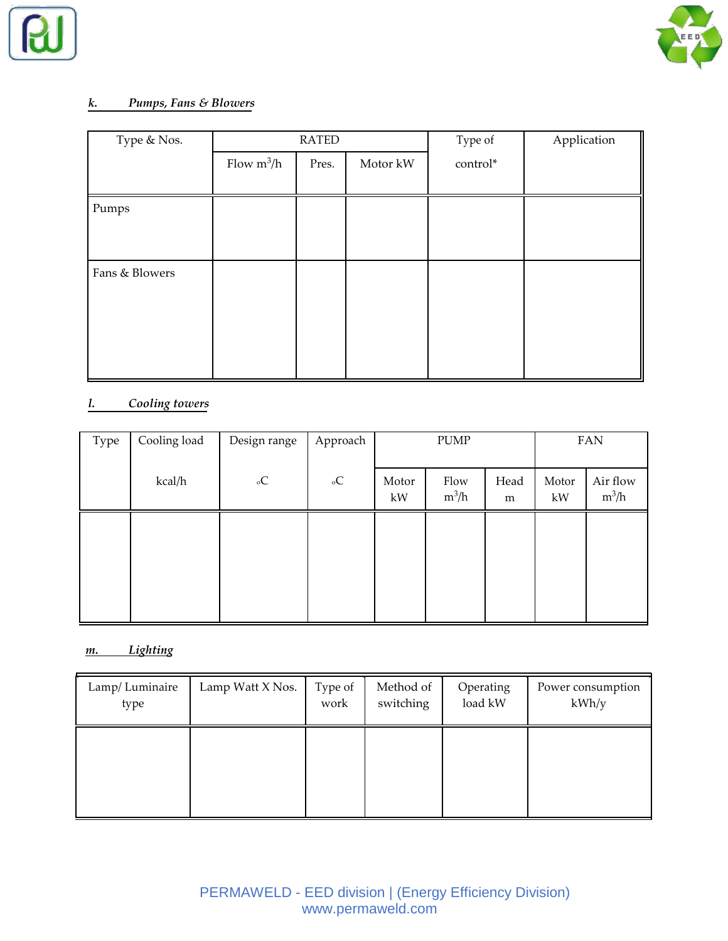



#### *k. Pumps, Fans & Blowers*

| Type & Nos.    | <b>RATED</b> |       |          | Type of  | Application |
|----------------|--------------|-------|----------|----------|-------------|
|                | Flow $m^3/h$ | Pres. | Motor kW | control* |             |
|                |              |       |          |          |             |
| Pumps          |              |       |          |          |             |
|                |              |       |          |          |             |
|                |              |       |          |          |             |
| Fans & Blowers |              |       |          |          |             |
|                |              |       |          |          |             |
|                |              |       |          |          |             |
|                |              |       |          |          |             |
|                |              |       |          |          |             |
|                |              |       |          |          |             |

# *l. Cooling towers*

| Type | Cooling load | Design range   | Approach            |             | PUMP            |           |             | <b>FAN</b>          |
|------|--------------|----------------|---------------------|-------------|-----------------|-----------|-------------|---------------------|
|      | kcal/h       | $_{\rm{o}}\!C$ | $_{\rm{o}}\text{C}$ | Motor<br>kW | Flow<br>$m^3/h$ | Head<br>m | Motor<br>kW | Air flow<br>$m^3/h$ |
|      |              |                |                     |             |                 |           |             |                     |
|      |              |                |                     |             |                 |           |             |                     |
|      |              |                |                     |             |                 |           |             |                     |

# *m. Lighting*

| Lamp/Luminaire | Lamp Watt X Nos. | Type of | Method of | Operating | Power consumption |
|----------------|------------------|---------|-----------|-----------|-------------------|
| type           |                  | work    | switching | load kW   | kWh/y             |
|                |                  |         |           |           |                   |